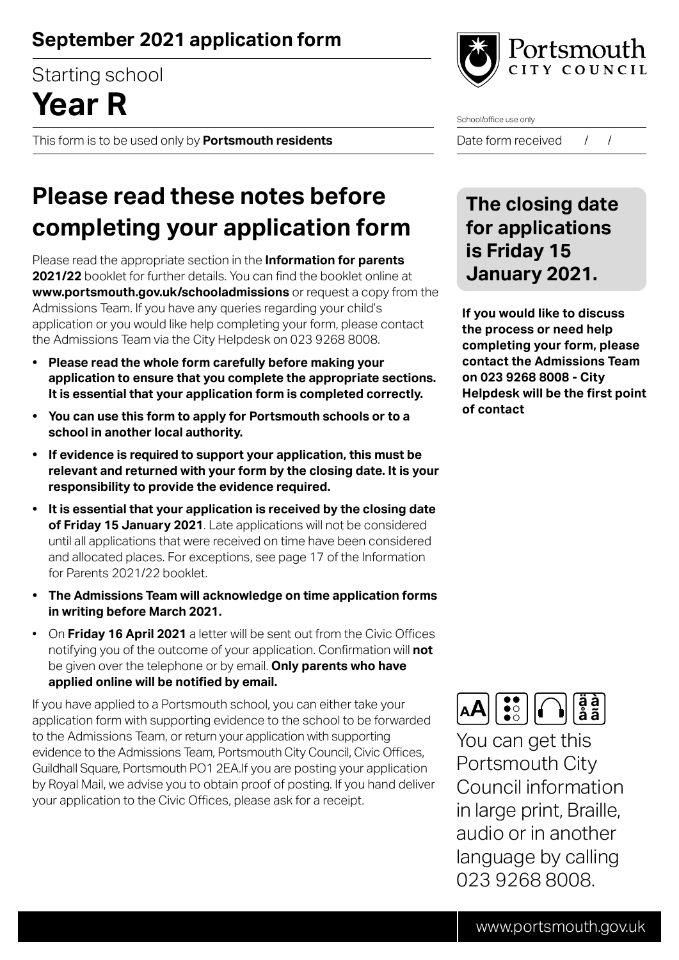### **September 2021 application form**

Starting school

# **Year R**

This form is to be used only by **Portsmouth residents**



School/office use only

Date form received / /

# **Please read these notes before completing your application form**

Please read the appropriate section in the **Information for parents 2021/22** booklet for further details. You can find the booklet online at **www.portsmouth.gov.uk/schooladmissions** or request a copy from the Admissions Team. If you have any queries regarding your child's application or you would like help completing your form, please contact the Admissions Team via the City Helpdesk on 023 9268 8008.

- **Please read the whole form carefully before making your application to ensure that you complete the appropriate sections. It is essential that your application form is completed correctly.**
- **You can use this form to apply for Portsmouth schools or to a school in another local authority.**
- **If evidence is required to support your application, this must be relevant and returned with your form by the closing date. It is your responsibility to provide the evidence required.**
- **It is essential that your application is received by the closing date of Friday 15 January 2021**. Late applications will not be considered until all applications that were received on time have been considered and allocated places. For exceptions, see page 17 of the Information for Parents 2021/22 booklet.
- **The Admissions Team will acknowledge on time application forms in writing before March 2021.**
- On **Friday 16 April 2021** a letter will be sent out from the Civic Offices notifying you of the outcome of your application. Confirmation will **not** be given over the telephone or by email. **Only parents who have applied online will be notified by email.**

If you have applied to a Portsmouth school, you can either take your application form with supporting evidence to the school to be forwarded to the Admissions Team, or return your application with supporting evidence to the Admissions Team, Portsmouth City Council, Civic Offices, Guildhall Square, Portsmouth PO1 2EA.If you are posting your application by Royal Mail, we advise you to obtain proof of posting. If you hand deliver your application to the Civic Offices, please ask for a receipt.

#### **The closing date for applications is Friday 15 January 2021.**

**If you would like to discuss the process or need help completing your form, please contact the Admissions Team on 023 9268 8008 - City Helpdesk will be the first point of contact**



You can get this Portsmouth City Council information in large print, Braille, audio or in another language by calling 023 9268 8008.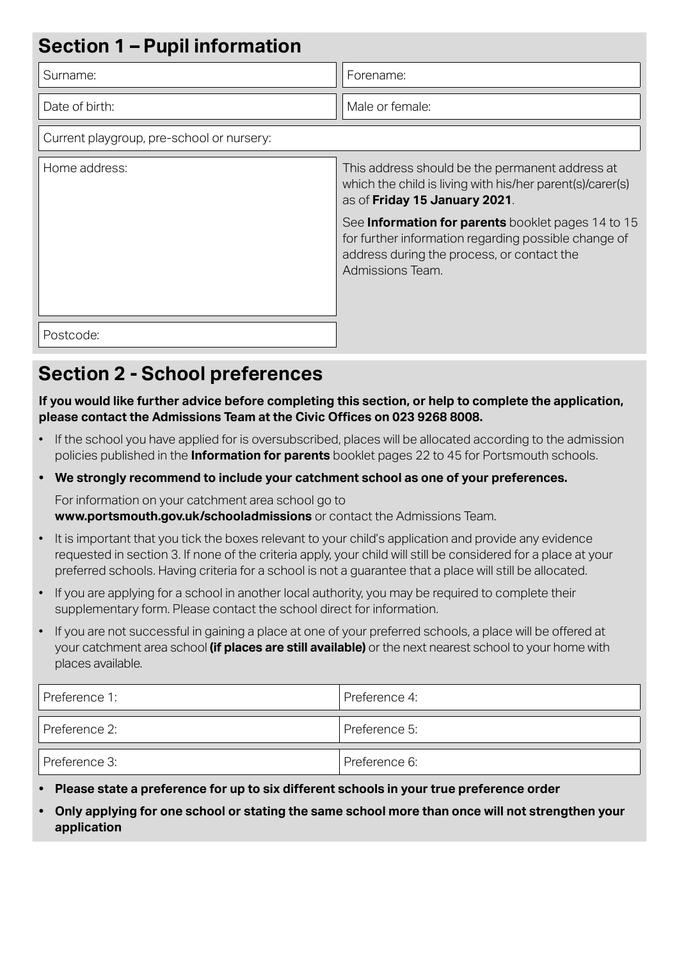| <b>Section 1 - Pupil information</b>      |                                                                                                                                                                              |  |
|-------------------------------------------|------------------------------------------------------------------------------------------------------------------------------------------------------------------------------|--|
| Surname:                                  | Forename:                                                                                                                                                                    |  |
| Date of birth:                            | Male or female:                                                                                                                                                              |  |
| Current playgroup, pre-school or nursery: |                                                                                                                                                                              |  |
| Home address:                             | This address should be the permanent address at<br>which the child is living with his/her parent(s)/carer(s)<br>as of Friday 15 January 2021.                                |  |
|                                           | See Information for parents booklet pages 14 to 15<br>for further information regarding possible change of<br>address during the process, or contact the<br>Admissions Team. |  |
| Postcode:                                 |                                                                                                                                                                              |  |

#### **Section 2 - School preferences**

**If you would like further advice before completing this section, or help to complete the application, please contact the Admissions Team at the Civic Offices on 023 9268 8008.**

- If the school you have applied for is oversubscribed, places will be allocated according to the admission policies published in the **Information for parents** booklet pages 22 to 45 for Portsmouth schools.
- **We strongly recommend to include your catchment school as one of your preferences.**

For information on your catchment area school go to **www.portsmouth.gov.uk/schooladmissions** or contact the Admissions Team.

- It is important that you tick the boxes relevant to your child's application and provide any evidence requested in section 3. If none of the criteria apply, your child will still be considered for a place at your preferred schools. Having criteria for a school is not a guarantee that a place will still be allocated.
- If you are applying for a school in another local authority, you may be required to complete their supplementary form. Please contact the school direct for information.
- If you are not successful in gaining a place at one of your preferred schools, a place will be offered at your catchment area school **(if places are still available)** or the next nearest school to your home with places available.

| Preference 1: | Preference 4: |
|---------------|---------------|
| Preference 2: | Preference 5: |
| Preference 3: | Preference 6: |

- **Please state a preference for up to six different schools in your true preference order**
- **Only applying for one school or stating the same school more than once will not strengthen your application**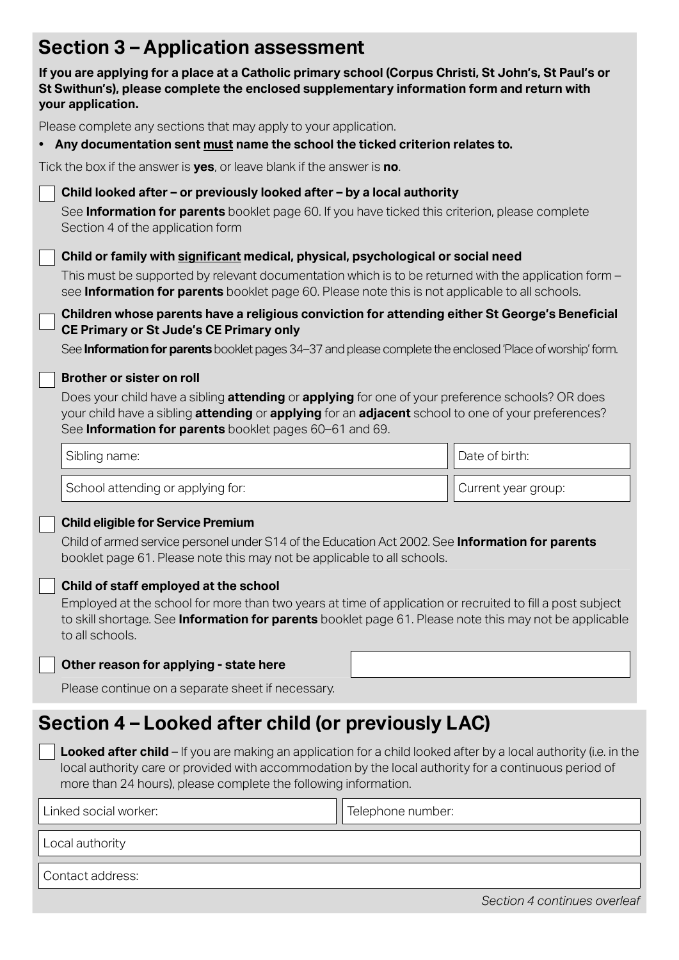## **Section 3 – Application assessment**

| If you are applying for a place at a Catholic primary school (Corpus Christi, St John's, St Paul's or<br>St Swithun's), please complete the enclosed supplementary information form and return with<br>your application.                                                                                                                                                                                                                                                                                           |                   |                              |  |
|--------------------------------------------------------------------------------------------------------------------------------------------------------------------------------------------------------------------------------------------------------------------------------------------------------------------------------------------------------------------------------------------------------------------------------------------------------------------------------------------------------------------|-------------------|------------------------------|--|
| Please complete any sections that may apply to your application.<br>• Any documentation sent must name the school the ticked criterion relates to.                                                                                                                                                                                                                                                                                                                                                                 |                   |                              |  |
| Tick the box if the answer is yes, or leave blank if the answer is no.                                                                                                                                                                                                                                                                                                                                                                                                                                             |                   |                              |  |
| Child looked after - or previously looked after - by a local authority<br>See <b>Information for parents</b> booklet page 60. If you have ticked this criterion, please complete<br>Section 4 of the application form                                                                                                                                                                                                                                                                                              |                   |                              |  |
| Child or family with significant medical, physical, psychological or social need<br>This must be supported by relevant documentation which is to be returned with the application form -<br>see <b>Information for parents</b> booklet page 60. Please note this is not applicable to all schools.                                                                                                                                                                                                                 |                   |                              |  |
| Children whose parents have a religious conviction for attending either St George's Beneficial<br><b>CE Primary or St Jude's CE Primary only</b><br>See Information for parents booklet pages 34-37 and please complete the enclosed 'Place of worship' form.                                                                                                                                                                                                                                                      |                   |                              |  |
| <b>Brother or sister on roll</b><br>Does your child have a sibling <b>attending</b> or <b>applying</b> for one of your preference schools? OR does<br>your child have a sibling attending or applying for an adjacent school to one of your preferences?<br>See Information for parents booklet pages 60-61 and 69.                                                                                                                                                                                                |                   |                              |  |
| Sibling name:                                                                                                                                                                                                                                                                                                                                                                                                                                                                                                      |                   | Date of birth:               |  |
| School attending or applying for:                                                                                                                                                                                                                                                                                                                                                                                                                                                                                  |                   | Current year group:          |  |
| <b>Child eligible for Service Premium</b><br>Child of armed service personel under S14 of the Education Act 2002. See <b>Information for parents</b><br>booklet page 61. Please note this may not be applicable to all schools.<br>Child of staff employed at the school<br>Employed at the school for more than two years at time of application or recruited to fill a post subject<br>to skill shortage. See Information for parents booklet page 61. Please note this may not be applicable<br>to all schools. |                   |                              |  |
| Other reason for applying - state here                                                                                                                                                                                                                                                                                                                                                                                                                                                                             |                   |                              |  |
| Please continue on a separate sheet if necessary.                                                                                                                                                                                                                                                                                                                                                                                                                                                                  |                   |                              |  |
| Section 4 – Looked after child (or previously LAC)                                                                                                                                                                                                                                                                                                                                                                                                                                                                 |                   |                              |  |
| <b>Looked after child</b> – If you are making an application for a child looked after by a local authority (i.e. in the<br>local authority care or provided with accommodation by the local authority for a continuous period of<br>more than 24 hours), please complete the following information.                                                                                                                                                                                                                |                   |                              |  |
| Linked social worker:                                                                                                                                                                                                                                                                                                                                                                                                                                                                                              | Telephone number: |                              |  |
| Local authority                                                                                                                                                                                                                                                                                                                                                                                                                                                                                                    |                   |                              |  |
| Contact address:                                                                                                                                                                                                                                                                                                                                                                                                                                                                                                   |                   |                              |  |
|                                                                                                                                                                                                                                                                                                                                                                                                                                                                                                                    |                   | Section 4 continues overleaf |  |